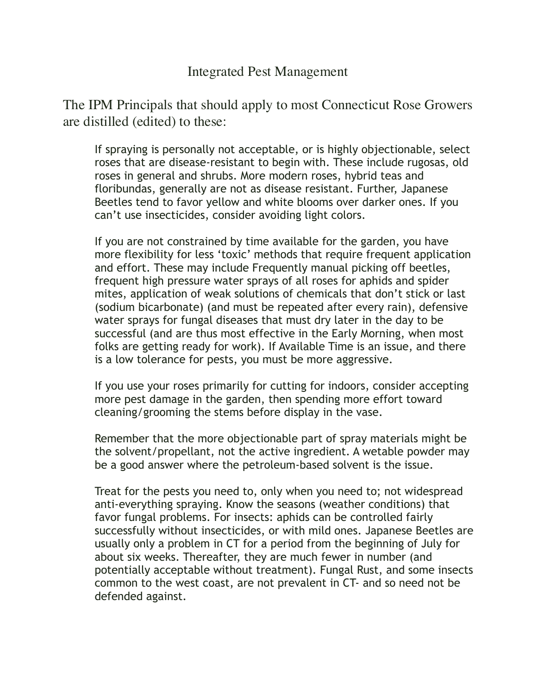## Integrated Pest Management

The IPM Principals that should apply to most Connecticut Rose Growers are distilled (edited) to these:

 If spraying is personally not acceptable, or is highly objectionable, select roses that are disease-resistant to begin with. These include rugosas, old roses in general and shrubs. More modern roses, hybrid teas and floribundas, generally are not as disease resistant. Further, Japanese Beetles tend to favor yellow and white blooms over darker ones. If you can't use insecticides, consider avoiding light colors.

 If you are not constrained by time available for the garden, you have more flexibility for less 'toxic' methods that require frequent application and effort. These may include Frequently manual picking off beetles, frequent high pressure water sprays of all roses for aphids and spider mites, application of weak solutions of chemicals that don't stick or last (sodium bicarbonate) (and must be repeated after every rain), defensive water sprays for fungal diseases that must dry later in the day to be successful (and are thus most effective in the Early Morning, when most folks are getting ready for work). If Available Time is an issue, and there is a low tolerance for pests, you must be more aggressive.

 If you use your roses primarily for cutting for indoors, consider accepting more pest damage in the garden, then spending more effort toward cleaning/grooming the stems before display in the vase.

 Remember that the more objectionable part of spray materials might be the solvent/propellant, not the active ingredient. A wetable powder may be a good answer where the petroleum-based solvent is the issue.

 Treat for the pests you need to, only when you need to; not widespread anti-everything spraying. Know the seasons (weather conditions) that favor fungal problems. For insects: aphids can be controlled fairly successfully without insecticides, or with mild ones. Japanese Beetles are usually only a problem in CT for a period from the beginning of July for about six weeks. Thereafter, they are much fewer in number (and potentially acceptable without treatment). Fungal Rust, and some insects common to the west coast, are not prevalent in CT- and so need not be defended against.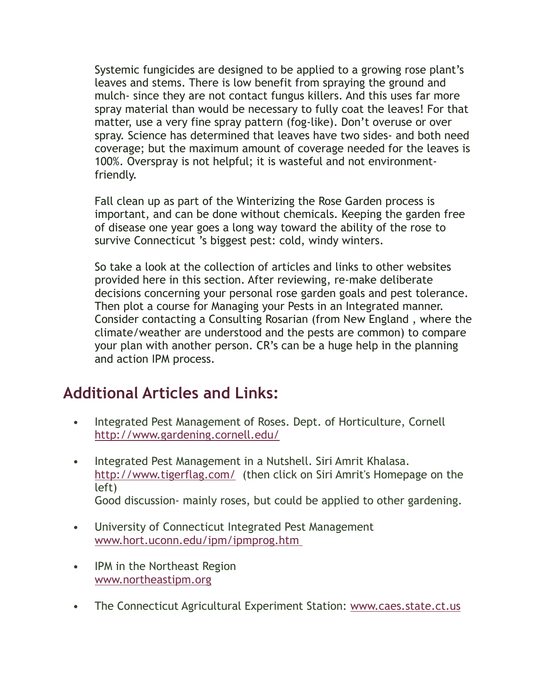Systemic fungicides are designed to be applied to a growing rose plant's leaves and stems. There is low benefit from spraying the ground and mulch- since they are not contact fungus killers. And this uses far more spray material than would be necessary to fully coat the leaves! For that matter, use a very fine spray pattern (fog-like). Don't overuse or over spray. Science has determined that leaves have two sides- and both need coverage; but the maximum amount of coverage needed for the leaves is 100%. Overspray is not helpful; it is wasteful and not environmentfriendly.

 Fall clean up as part of the Winterizing the Rose Garden process is important, and can be done without chemicals. Keeping the garden free of disease one year goes a long way toward the ability of the rose to survive Connecticut 's biggest pest: cold, windy winters.

 So take a look at the collection of articles and links to other websites provided here in this section. After reviewing, re-make deliberate decisions concerning your personal rose garden goals and pest tolerance. Then plot a course for Managing your Pests in an Integrated manner. Consider contacting a Consulting Rosarian (from New England , where the climate/weather are understood and the pests are common) to compare your plan with another person. CR's can be a huge help in the planning and action IPM process.

## **Additional Articles and Links:**

- Integrated Pest Management of Roses. Dept. of Horticulture, Cornell <http://www.gardening.cornell.edu/>
- Integrated Pest Management in a Nutshell. Siri Amrit Khalasa. <http://www.tigerflag.com/> (then click on Siri Amrit's Homepage on the left) Good discussion- mainly roses, but could be applied to other gardening.
- University of Connecticut Integrated Pest Management [www.hort.uconn.edu/ipm/ipmprog.htm](http://www.hort.uconn.edu/ipm/ipmprog.htm)
- IPM in the Northeast Region [www.northeastipm.org](http://www.northeastipm.org/)
- The Connecticut Agricultural Experiment Station: [www.caes.state.ct.us](http://www.caes.state.ct.us/)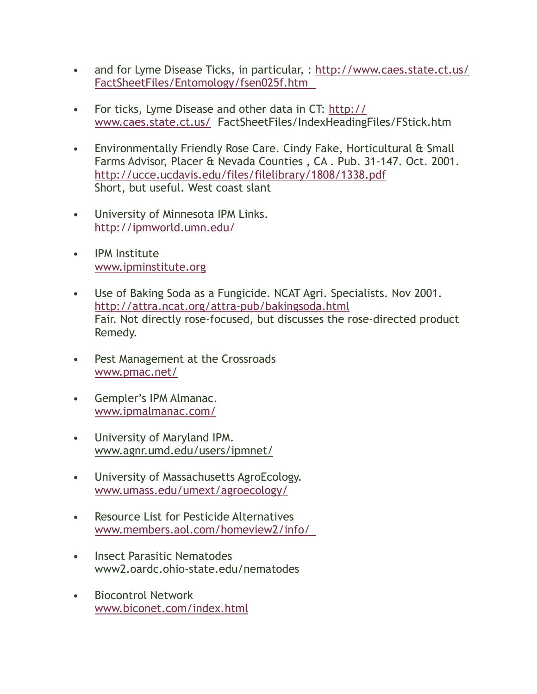- and for Lyme Disease Ticks, in particular, : [http://www.caes.state.ct.us/](http://www.caes.state.ct.us/FactSheetFiles/Entomology/fsen025f.htm) [FactSheetFiles/Entomology/fsen025f.htm](http://www.caes.state.ct.us/FactSheetFiles/Entomology/fsen025f.htm)
- For ticks, Lyme Disease and other data in CT: [http://](http://www.caes.state.ct.us/) [www.caes.state.ct.us/](http://www.caes.state.ct.us/) FactSheetFiles/IndexHeadingFiles/FStick.htm
- Environmentally Friendly Rose Care. Cindy Fake, Horticultural & Small Farms Advisor, Placer & Nevada Counties , CA . Pub. 31-147. Oct. 2001. <http://ucce.ucdavis.edu/files/filelibrary/1808/1338.pdf> Short, but useful. West coast slant
- University of Minnesota IPM Links. <http://ipmworld.umn.edu/>
- IPM Institute [www.ipminstitute.org](http://www.ipminstitute.org/)
- Use of Baking Soda as a Fungicide. NCAT Agri. Specialists. Nov 2001. <http://attra.ncat.org/attra-pub/bakingsoda.html> Fair. Not directly rose-focused, but discusses the rose-directed product Remedy.
- Pest Management at the Crossroads [www.pmac.net/](http://www.pmac.net/)
- Gempler's IPM Almanac. [www.ipmalmanac.com/](http://www.ipmalmanac.com/)
- University of Maryland IPM. [www.agnr.umd.edu/users/ipmnet/](http://www.agnr.umd.edu/users/ipmnet/)
- University of Massachusetts AgroEcology. [www.umass.edu/umext/agroecology/](http://www.umass.edu/umext/agroecology/)
- Resource List for Pesticide Alternatives [www.members.aol.com/homeview2/info/](http://www.members.aol.com/homeview2/info/)
- Insect Parasitic Nematodes www2.oardc.ohio-state.edu/nematodes
- Biocontrol Network [www.biconet.com/index.html](http://www.biconet.com/index.html)